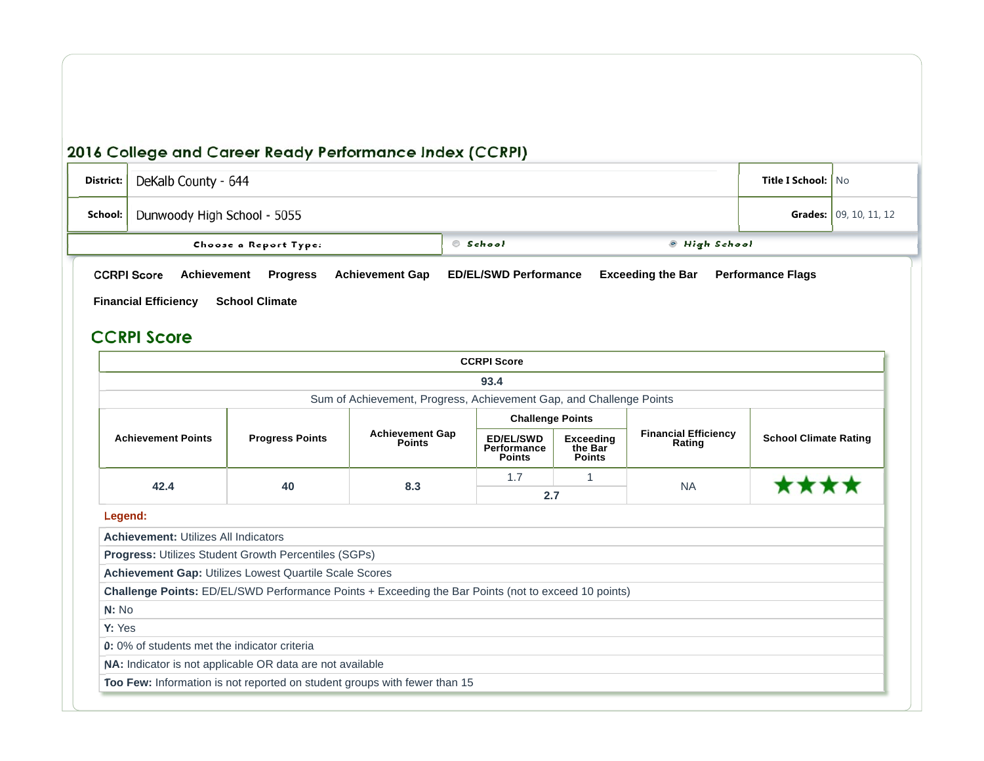| District:                                         | DeKalb County - 644         | <b>Title I School:   No</b> |                                       |                      |  |  |
|---------------------------------------------------|-----------------------------|-----------------------------|---------------------------------------|----------------------|--|--|
| School:                                           | Dunwoody High School - 5055 |                             | <b>Grades:</b> $\vert$ 09, 10, 11, 12 |                      |  |  |
|                                                   | Choose a Report Type:       |                             | © School                              | <b>• High School</b> |  |  |
| <b>CCRPI Score</b><br><b>Financial Efficiency</b> | <b>Performance Flags</b>    |                             |                                       |                      |  |  |

#### **CCRPI Score**

|                                                               |                        |                                                                                                            | <b>CCRPI Score</b>                               |                                              |           |                             |                              |  |  |
|---------------------------------------------------------------|------------------------|------------------------------------------------------------------------------------------------------------|--------------------------------------------------|----------------------------------------------|-----------|-----------------------------|------------------------------|--|--|
|                                                               |                        |                                                                                                            | 93.4                                             |                                              |           |                             |                              |  |  |
|                                                               |                        | Sum of Achievement, Progress, Achievement Gap, and Challenge Points                                        |                                                  |                                              |           |                             |                              |  |  |
| <b>Challenge Points</b>                                       |                        |                                                                                                            |                                                  |                                              |           |                             |                              |  |  |
| <b>Achievement Points</b>                                     | <b>Progress Points</b> | <b>Achievement Gap</b><br><b>Points</b>                                                                    | <b>ED/EL/SWD</b><br>Performance<br><b>Points</b> | <b>Exceeding</b><br>the Bar<br><b>Points</b> | Rating    | <b>Financial Efficiency</b> | <b>School Climate Rating</b> |  |  |
| 42.4                                                          |                        | 8.3                                                                                                        | 1.7                                              | 1                                            | <b>NA</b> |                             |                              |  |  |
|                                                               | 40                     |                                                                                                            | 2.7                                              |                                              |           |                             |                              |  |  |
| Legend:                                                       |                        |                                                                                                            |                                                  |                                              |           |                             |                              |  |  |
| <b>Achievement: Utilizes All Indicators</b>                   |                        |                                                                                                            |                                                  |                                              |           |                             |                              |  |  |
| <b>Progress: Utilizes Student Growth Percentiles (SGPs)</b>   |                        |                                                                                                            |                                                  |                                              |           |                             |                              |  |  |
| <b>Achievement Gap: Utilizes Lowest Quartile Scale Scores</b> |                        |                                                                                                            |                                                  |                                              |           |                             |                              |  |  |
|                                                               |                        | <b>Challenge Points:</b> ED/EL/SWD Performance Points + Exceeding the Bar Points (not to exceed 10 points) |                                                  |                                              |           |                             |                              |  |  |
| N: No                                                         |                        |                                                                                                            |                                                  |                                              |           |                             |                              |  |  |
| Y: Yes                                                        |                        |                                                                                                            |                                                  |                                              |           |                             |                              |  |  |
| 0: 0% of students met the indicator criteria                  |                        |                                                                                                            |                                                  |                                              |           |                             |                              |  |  |
| NA: Indicator is not applicable OR data are not available     |                        |                                                                                                            |                                                  |                                              |           |                             |                              |  |  |
|                                                               |                        | Too Few: Information is not reported on student groups with fewer than 15                                  |                                                  |                                              |           |                             |                              |  |  |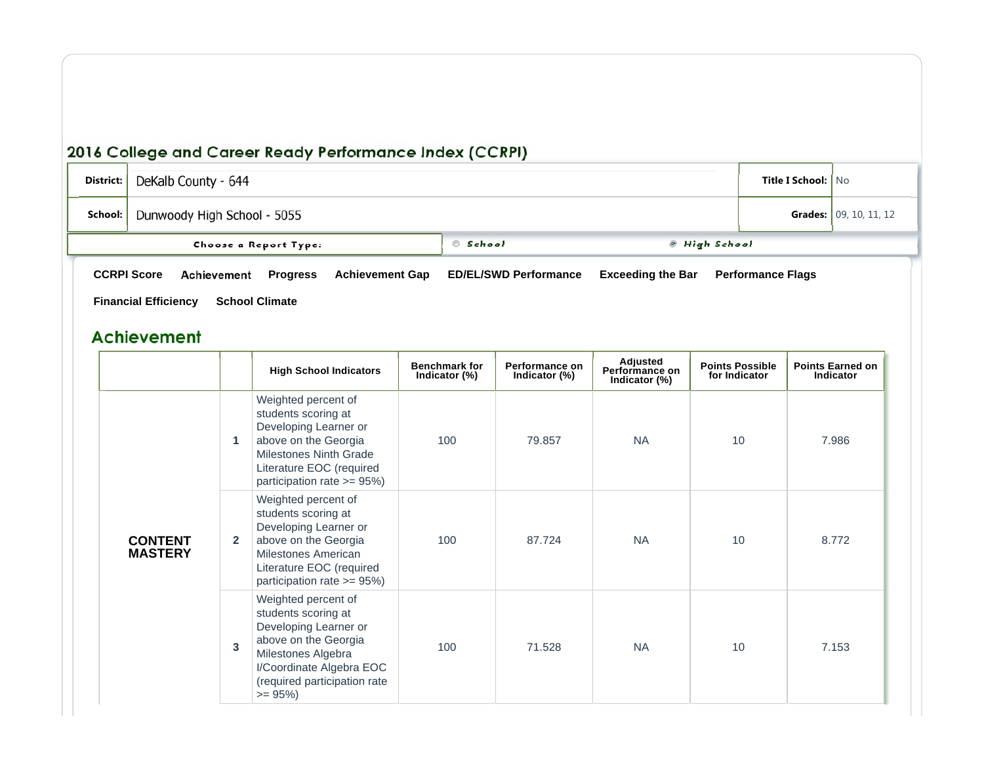| District: | DeKalb County - 644                                                            | <b>Title I School:   No</b> |                               |  |  |  |  |  |  |
|-----------|--------------------------------------------------------------------------------|-----------------------------|-------------------------------|--|--|--|--|--|--|
| School: I | Dunwoody High School - 5055                                                    |                             | <b>Grades:</b> 09, 10, 11, 12 |  |  |  |  |  |  |
|           | Choose a Report Type:                                                          | © School                    | ◎ High School                 |  |  |  |  |  |  |
|           | <b>CCRPI Score</b><br>Achievement<br><b>Progress</b><br><b>Achievement Gap</b> | <b>Performance Flags</b>    |                               |  |  |  |  |  |  |
|           | <b>Financial Efficiency</b><br><b>School Climate</b>                           |                             |                               |  |  |  |  |  |  |

### **Achievement**

|                                  |              | <b>High School Indicators</b>                                                                                                                                                              | <b>Benchmark for</b><br>Indicator (%) | Performance on<br>Indicator (%) | Adjusted<br>Performance on<br>Indicator (%) | <b>Points Possible</b><br>for Indicator | <b>Points Earned on</b><br>Indicator |
|----------------------------------|--------------|--------------------------------------------------------------------------------------------------------------------------------------------------------------------------------------------|---------------------------------------|---------------------------------|---------------------------------------------|-----------------------------------------|--------------------------------------|
|                                  | 1            | Weighted percent of<br>students scoring at<br>Developing Learner or<br>above on the Georgia<br><b>Milestones Ninth Grade</b><br>Literature EOC (required<br>participation rate >= 95%)     | 100                                   | 79.857                          | <b>NA</b>                                   | 10                                      | 7.986                                |
| <b>CONTENT</b><br><b>MASTERY</b> | $\mathbf{2}$ | Weighted percent of<br>students scoring at<br>Developing Learner or<br>above on the Georgia<br><b>Milestones American</b><br>Literature EOC (required<br>participation rate $>= 95\%)$     | 100                                   | 87.724                          | <b>NA</b>                                   | 10                                      | 8.772                                |
|                                  | 3            | Weighted percent of<br>students scoring at<br>Developing Learner or<br>above on the Georgia<br>Milestones Algebra<br>I/Coordinate Algebra EOC<br>(required participation rate<br>$= 95\%)$ | 100                                   | 71.528                          | <b>NA</b>                                   | 10                                      | 7.153                                |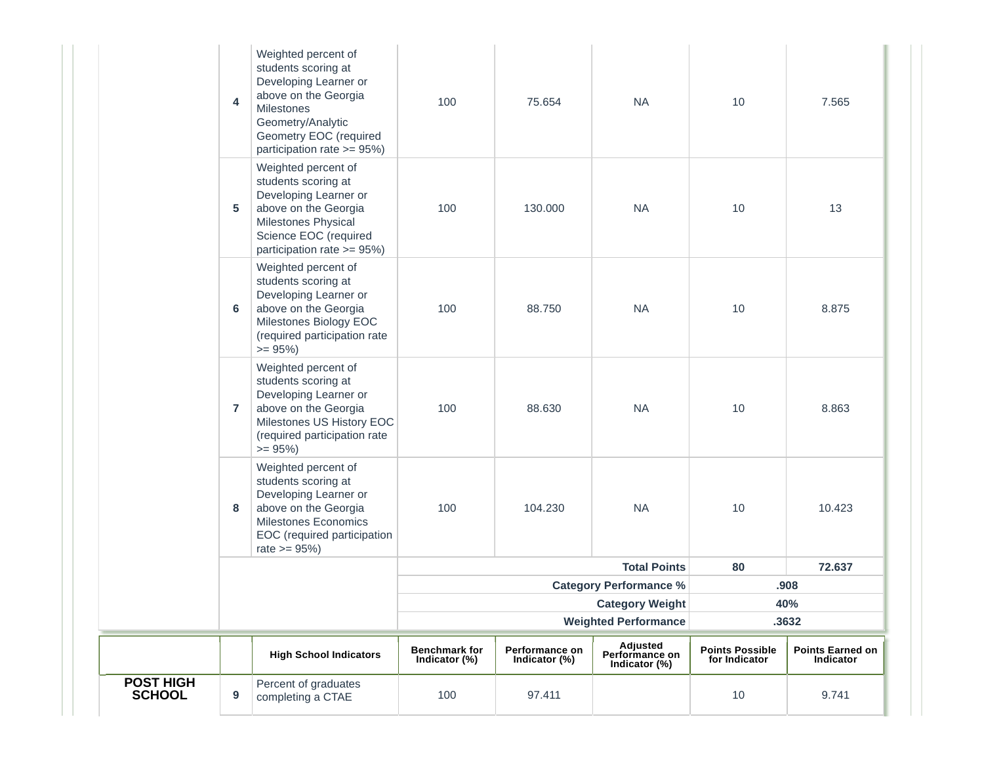| POST HIGH<br><b>SCHOOL</b> | $\boldsymbol{9}$ | Percent of graduates<br>completing a CTAE                                                                                                                                                     | 100                                   | 97.411                          |                                             | 10                                      | 9.741                                |
|----------------------------|------------------|-----------------------------------------------------------------------------------------------------------------------------------------------------------------------------------------------|---------------------------------------|---------------------------------|---------------------------------------------|-----------------------------------------|--------------------------------------|
|                            |                  | <b>High School Indicators</b>                                                                                                                                                                 | <b>Benchmark for</b><br>Indicator (%) | Performance on<br>Indicator (%) | Adjusted<br>Performance on<br>Indicator (%) | <b>Points Possible</b><br>for Indicator | <b>Points Earned on</b><br>Indicator |
|                            |                  |                                                                                                                                                                                               |                                       |                                 | <b>Weighted Performance</b>                 |                                         | .3632                                |
|                            |                  |                                                                                                                                                                                               |                                       |                                 | <b>Category Weight</b>                      |                                         | 40%                                  |
|                            |                  |                                                                                                                                                                                               |                                       |                                 | <b>Category Performance %</b>               |                                         | .908                                 |
|                            |                  |                                                                                                                                                                                               |                                       |                                 | <b>Total Points</b>                         | 80                                      | 72.637                               |
|                            | 8                | Weighted percent of<br>students scoring at<br>Developing Learner or<br>above on the Georgia<br><b>Milestones Economics</b><br>EOC (required participation<br>rate $>= 95\%$                   | 100                                   | 104.230                         | <b>NA</b>                                   | 10                                      | 10.423                               |
|                            | $\overline{7}$   | Weighted percent of<br>students scoring at<br>Developing Learner or<br>above on the Georgia<br>Milestones US History EOC<br>(required participation rate<br>$>= 95\%)$                        | 100                                   | 88.630                          | <b>NA</b>                                   | 10                                      | 8.863                                |
|                            | 6                | Weighted percent of<br>students scoring at<br>Developing Learner or<br>above on the Georgia<br>Milestones Biology EOC<br>(required participation rate<br>$>= 95\%)$                           | 100                                   | 88.750                          | <b>NA</b>                                   | 10                                      | 8.875                                |
|                            | 5                | Weighted percent of<br>students scoring at<br>Developing Learner or<br>above on the Georgia<br>Milestones Physical<br>Science EOC (required<br>participation rate >= 95%)                     | 100                                   | 130.000                         | <b>NA</b>                                   | 10                                      | 13                                   |
|                            | 4                | Weighted percent of<br>students scoring at<br>Developing Learner or<br>above on the Georgia<br><b>Milestones</b><br>Geometry/Analytic<br>Geometry EOC (required<br>participation rate >= 95%) | 100                                   | 75.654                          | <b>NA</b>                                   | 10                                      | 7.565                                |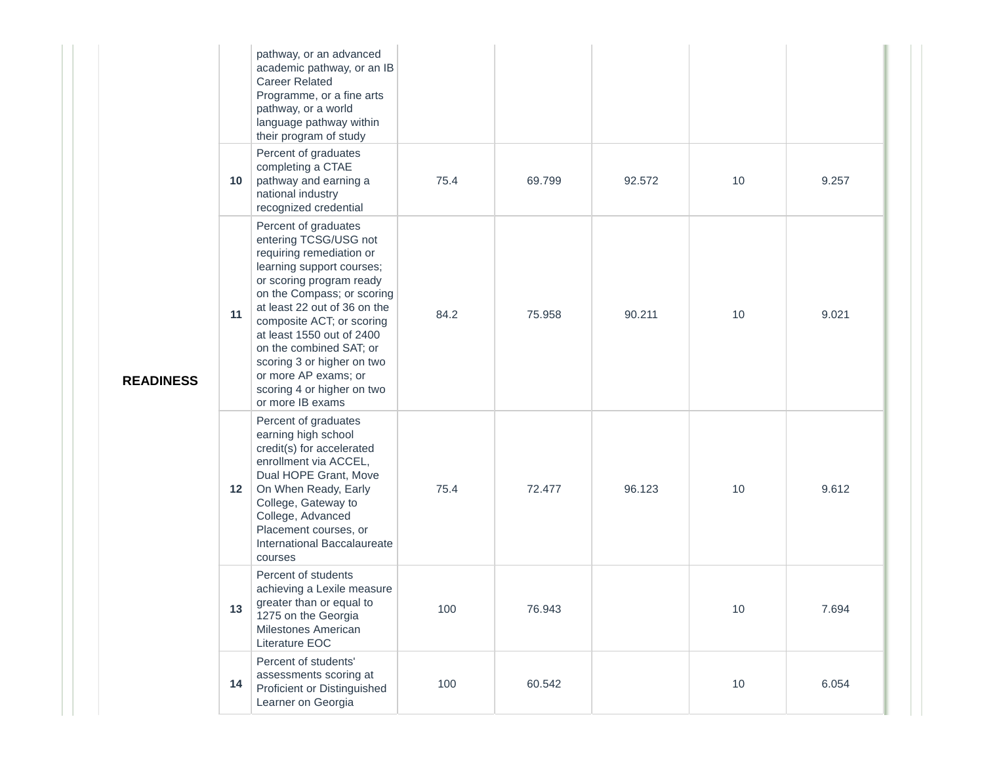|                  | 10 | pathway, or an advanced<br>academic pathway, or an IB<br><b>Career Related</b><br>Programme, or a fine arts<br>pathway, or a world<br>language pathway within<br>their program of study<br>Percent of graduates<br>completing a CTAE<br>pathway and earning a<br>national industry<br>recognized credential                                                                                   | 75.4 | 69.799 | 92.572 | 10 | 9.257 |
|------------------|----|-----------------------------------------------------------------------------------------------------------------------------------------------------------------------------------------------------------------------------------------------------------------------------------------------------------------------------------------------------------------------------------------------|------|--------|--------|----|-------|
| <b>READINESS</b> | 11 | Percent of graduates<br>entering TCSG/USG not<br>requiring remediation or<br>learning support courses;<br>or scoring program ready<br>on the Compass; or scoring<br>at least 22 out of 36 on the<br>composite ACT; or scoring<br>at least 1550 out of 2400<br>on the combined SAT; or<br>scoring 3 or higher on two<br>or more AP exams; or<br>scoring 4 or higher on two<br>or more IB exams | 84.2 | 75.958 | 90.211 | 10 | 9.021 |
|                  | 12 | Percent of graduates<br>earning high school<br>credit(s) for accelerated<br>enrollment via ACCEL,<br>Dual HOPE Grant, Move<br>On When Ready, Early<br>College, Gateway to<br>College, Advanced<br>Placement courses, or<br>International Baccalaureate<br>courses                                                                                                                             | 75.4 | 72.477 | 96.123 | 10 | 9.612 |
|                  | 13 | Percent of students<br>achieving a Lexile measure<br>greater than or equal to<br>1275 on the Georgia<br>Milestones American<br>Literature EOC                                                                                                                                                                                                                                                 | 100  | 76.943 |        | 10 | 7.694 |
|                  | 14 | Percent of students'<br>assessments scoring at<br>Proficient or Distinguished<br>Learner on Georgia                                                                                                                                                                                                                                                                                           | 100  | 60.542 |        | 10 | 6.054 |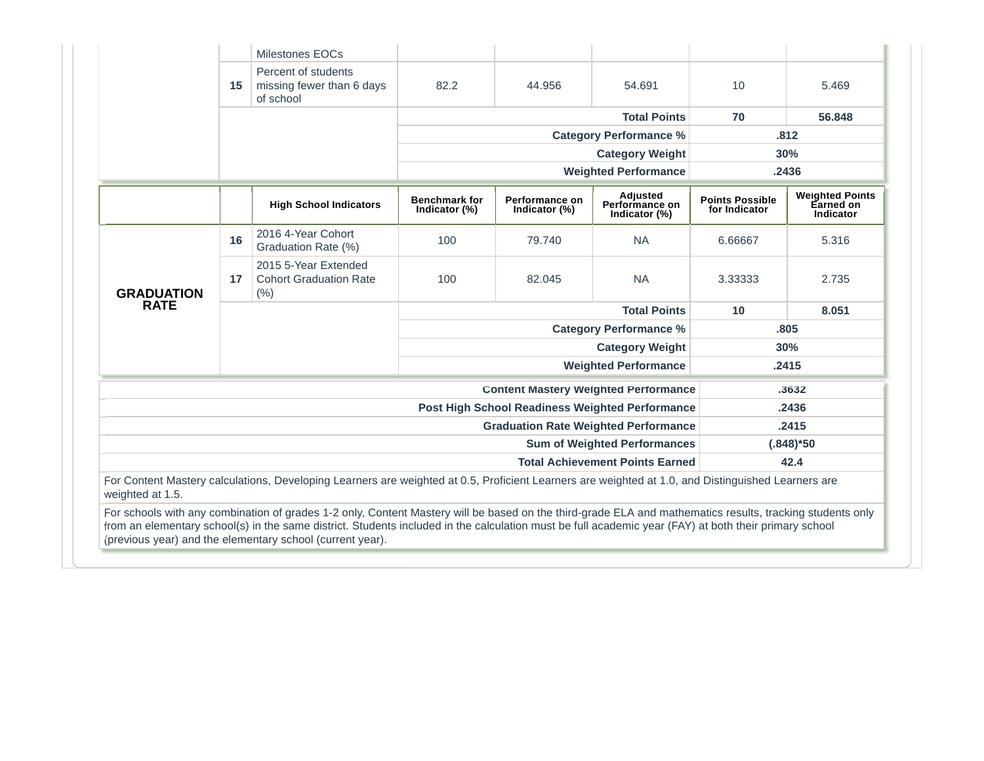|                   |    | <b>Milestones EOCs</b>                                                                                                                                                                                                                                                                                                                                                          |                                       |                                 |                                                        |                                         |                                                  |
|-------------------|----|---------------------------------------------------------------------------------------------------------------------------------------------------------------------------------------------------------------------------------------------------------------------------------------------------------------------------------------------------------------------------------|---------------------------------------|---------------------------------|--------------------------------------------------------|-----------------------------------------|--------------------------------------------------|
|                   | 15 | Percent of students<br>missing fewer than 6 days<br>of school                                                                                                                                                                                                                                                                                                                   | 82.2                                  | 44.956                          | 54.691                                                 | 10                                      | 5.469                                            |
|                   |    |                                                                                                                                                                                                                                                                                                                                                                                 |                                       |                                 | <b>Total Points</b>                                    | 70                                      | 56,848                                           |
|                   |    |                                                                                                                                                                                                                                                                                                                                                                                 |                                       |                                 | <b>Category Performance %</b>                          |                                         | .812                                             |
|                   |    |                                                                                                                                                                                                                                                                                                                                                                                 |                                       |                                 | <b>Category Weight</b>                                 |                                         | 30%                                              |
|                   |    |                                                                                                                                                                                                                                                                                                                                                                                 |                                       |                                 | <b>Weighted Performance</b>                            |                                         | .2436                                            |
|                   |    | <b>High School Indicators</b>                                                                                                                                                                                                                                                                                                                                                   | <b>Benchmark for</b><br>Indicator (%) | Performance on<br>Indicator (%) | Adjusted<br>Performance on<br>Indicator (%)            | <b>Points Possible</b><br>for Indicator | <b>Weighted Points</b><br>Earned on<br>Indicator |
| <b>GRADUATION</b> | 16 | 2016 4-Year Cohort<br>Graduation Rate (%)                                                                                                                                                                                                                                                                                                                                       | 100                                   | 79.740                          | <b>NA</b>                                              | 6.66667                                 | 5.316                                            |
|                   | 17 | 2015 5-Year Extended<br><b>Cohort Graduation Rate</b><br>(% )                                                                                                                                                                                                                                                                                                                   | 100                                   | 82.045                          | <b>NA</b>                                              | 3.33333                                 | 2.735                                            |
| <b>RATE</b>       |    |                                                                                                                                                                                                                                                                                                                                                                                 | <b>Total Points</b>                   |                                 |                                                        | 10                                      | 8.051                                            |
|                   |    |                                                                                                                                                                                                                                                                                                                                                                                 |                                       |                                 | <b>Category Performance %</b>                          |                                         | .805                                             |
|                   |    |                                                                                                                                                                                                                                                                                                                                                                                 |                                       |                                 | <b>Category Weight</b>                                 |                                         | 30%                                              |
|                   |    |                                                                                                                                                                                                                                                                                                                                                                                 |                                       |                                 | <b>Weighted Performance</b>                            |                                         | .2415                                            |
|                   |    |                                                                                                                                                                                                                                                                                                                                                                                 |                                       |                                 | <b>Content Mastery Weighted Performance</b>            |                                         | .3632                                            |
|                   |    |                                                                                                                                                                                                                                                                                                                                                                                 |                                       |                                 | <b>Post High School Readiness Weighted Performance</b> |                                         | .2436                                            |
|                   |    |                                                                                                                                                                                                                                                                                                                                                                                 |                                       |                                 | <b>Graduation Rate Weighted Performance</b>            |                                         | .2415                                            |
|                   |    |                                                                                                                                                                                                                                                                                                                                                                                 |                                       |                                 | <b>Sum of Weighted Performances</b>                    |                                         | $(.848)*50$                                      |
|                   |    |                                                                                                                                                                                                                                                                                                                                                                                 |                                       |                                 | <b>Total Achievement Points Earned</b>                 |                                         | 42.4                                             |
|                   |    | For Content Mastery calculations, Developing Learners are weighted at 0.5, Proficient Learners are weighted at 1.0, and Distinguished Learners are                                                                                                                                                                                                                              |                                       |                                 |                                                        |                                         |                                                  |
| weighted at 1.5.  |    | For schools with any combination of grades 1-2 only, Content Mastery will be based on the third-grade ELA and mathematics results, tracking students only<br>from an elementary school(s) in the same district. Students included in the calculation must be full academic year (FAY) at both their primary school<br>(previous year) and the elementary school (current year). |                                       |                                 |                                                        |                                         |                                                  |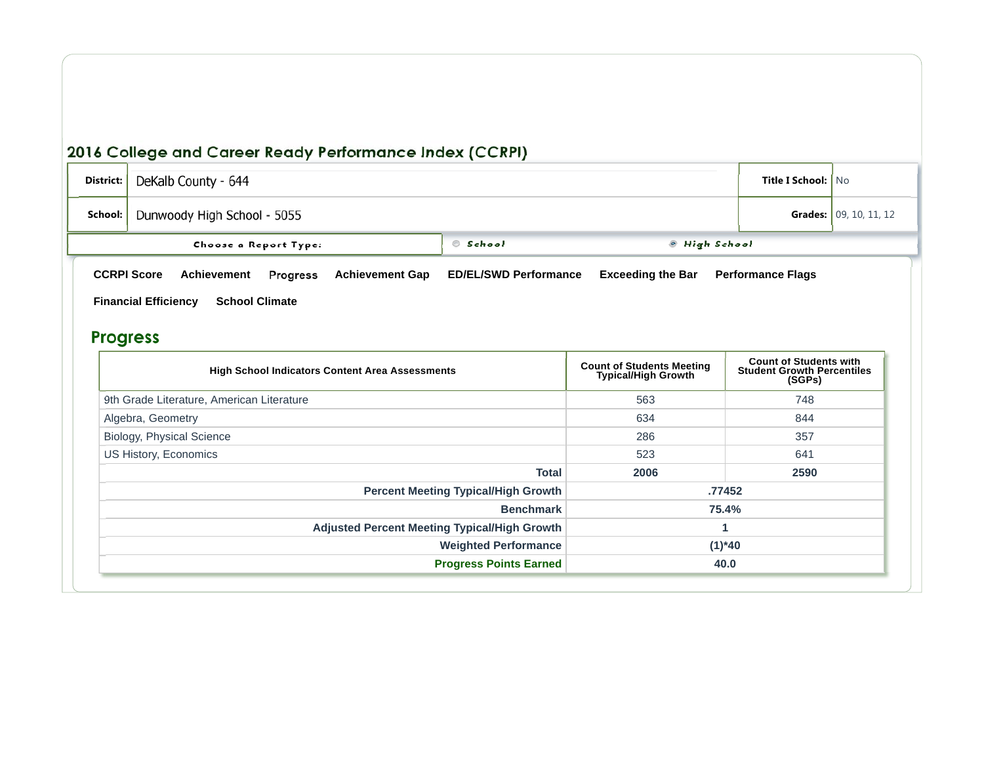| District:                                            | DeKalb County - 644                                                            | <b>Title I School:   No</b> |                               |  |  |  |  |  |
|------------------------------------------------------|--------------------------------------------------------------------------------|-----------------------------|-------------------------------|--|--|--|--|--|
| School:                                              | Dunwoody High School - 5055                                                    |                             | <b>Grades:</b> 09, 10, 11, 12 |  |  |  |  |  |
|                                                      | Choose a Report Type:                                                          | © School                    | ◎ High School                 |  |  |  |  |  |
|                                                      | <b>CCRPI Score</b><br>Achievement<br><b>Achievement Gap</b><br><b>Progress</b> | <b>Performance Flags</b>    |                               |  |  |  |  |  |
| <b>Financial Efficiency</b><br><b>School Climate</b> |                                                                                |                             |                               |  |  |  |  |  |

## **Progress**

| <b>High School Indicators Content Area Assessments</b> | <b>Count of Students Meeting</b><br><b>Typical/High Growth</b> | <b>Count of Students with</b><br><b>Student Growth Percentiles</b><br>(SGPs) |  |
|--------------------------------------------------------|----------------------------------------------------------------|------------------------------------------------------------------------------|--|
| 9th Grade Literature, American Literature              | 563                                                            | 748                                                                          |  |
| Algebra, Geometry                                      | 634                                                            | 844                                                                          |  |
| Biology, Physical Science                              | 286                                                            | 357                                                                          |  |
| US History, Economics                                  | 523                                                            | 641                                                                          |  |
| <b>Total</b>                                           | 2006                                                           | 2590                                                                         |  |
| <b>Percent Meeting Typical/High Growth</b>             |                                                                | .77452                                                                       |  |
| <b>Benchmark</b>                                       |                                                                | 75.4%                                                                        |  |
| <b>Adjusted Percent Meeting Typical/High Growth</b>    |                                                                |                                                                              |  |
| <b>Weighted Performance</b>                            |                                                                | $(1)^*40$                                                                    |  |
| <b>Progress Points Earned</b>                          | 40.0                                                           |                                                                              |  |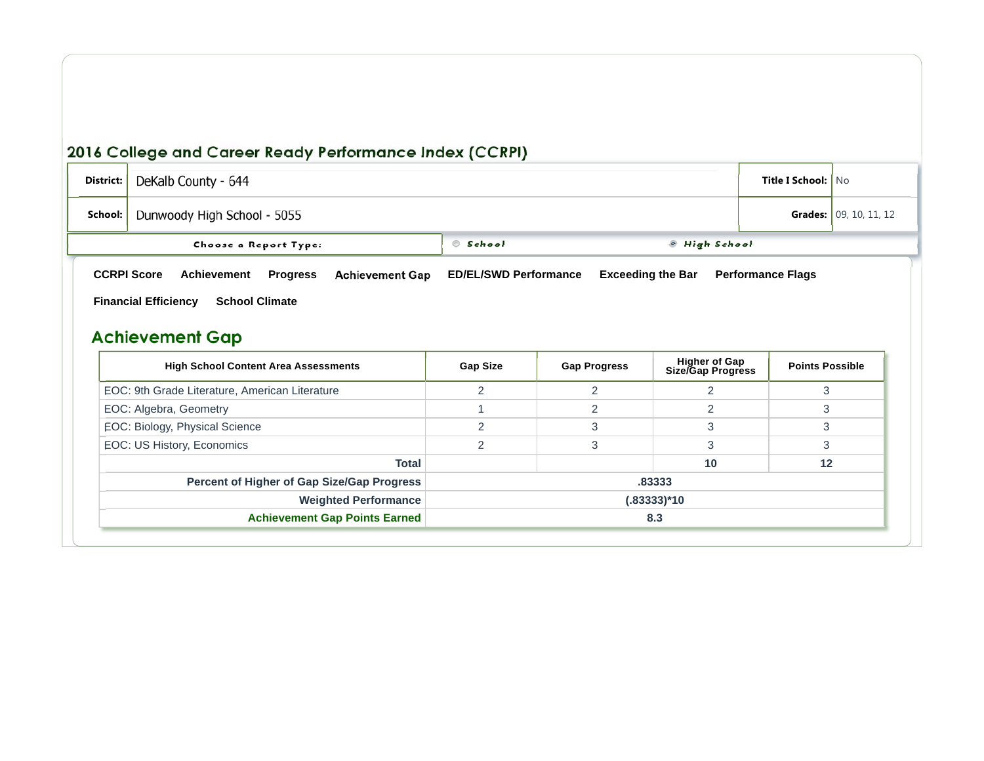| District:                                         | DeKalb County - 644         | <b>Title I School:   No</b> |                        |  |  |
|---------------------------------------------------|-----------------------------|-----------------------------|------------------------|--|--|
| School:                                           | Dunwoody High School - 5055 |                             | Grades: 09, 10, 11, 12 |  |  |
|                                                   | Choose a Report Type:       | © School                    | ◎ High School          |  |  |
| <b>CCRPI Score</b><br><b>Financial Efficiency</b> | <b>Performance Flags</b>    |                             |                        |  |  |

# **Achievement Gap**

| <b>High School Content Area Assessments</b>    | <b>Gap Size</b> | <b>Gap Progress</b> | <b>Higher of Gap</b><br>Size/Gap Progress | <b>Points Possible</b> |  |  |
|------------------------------------------------|-----------------|---------------------|-------------------------------------------|------------------------|--|--|
| EOC: 9th Grade Literature, American Literature |                 |                     |                                           |                        |  |  |
| EOC: Algebra, Geometry                         |                 |                     |                                           |                        |  |  |
| EOC: Biology, Physical Science                 | ⌒               | 3                   |                                           | 3                      |  |  |
| EOC: US History, Economics                     |                 |                     |                                           |                        |  |  |
| <b>Total</b>                                   |                 |                     | 10                                        | 12                     |  |  |
| Percent of Higher of Gap Size/Gap Progress     |                 |                     | .83333                                    |                        |  |  |
| <b>Weighted Performance</b>                    |                 | (.83333)*10         |                                           |                        |  |  |
| <b>Achievement Gap Points Earned</b>           | 8.3             |                     |                                           |                        |  |  |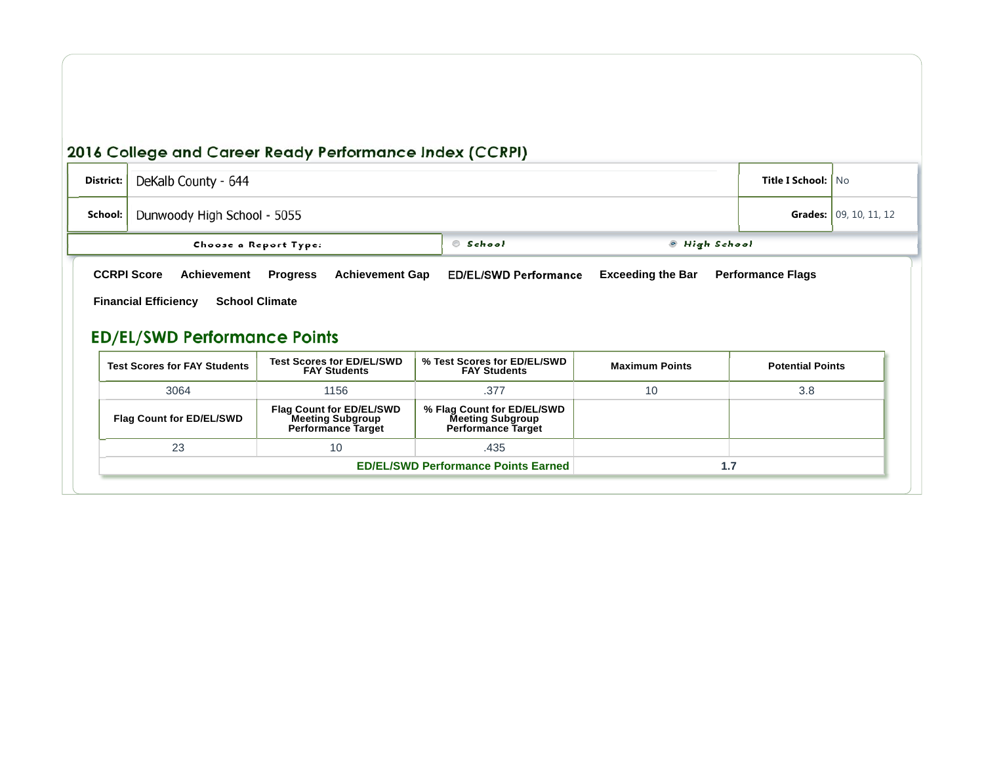23 10 .435

| District: | DeKalb County - 644                                                                                                                                                                                                                                                   | <b>Title I School:   No</b> |                                                    |                       |                         |  |  |  |  |
|-----------|-----------------------------------------------------------------------------------------------------------------------------------------------------------------------------------------------------------------------------------------------------------------------|-----------------------------|----------------------------------------------------|-----------------------|-------------------------|--|--|--|--|
| School:   |                                                                                                                                                                                                                                                                       | Dunwoody High School - 5055 |                                                    |                       |                         |  |  |  |  |
|           | School<br><b>.</b> High School<br>Choose a Report Type:                                                                                                                                                                                                               |                             |                                                    |                       |                         |  |  |  |  |
|           | <b>CCRPI Score</b><br><b>ED/EL/SWD Performance</b><br><b>Exceeding the Bar</b><br>Achievement<br><b>Achievement Gap</b><br><b>Performance Flags</b><br><b>Progress</b><br><b>Financial Efficiency</b><br><b>School Climate</b><br><b>ED/EL/SWD Performance Points</b> |                             |                                                    |                       |                         |  |  |  |  |
|           | <b>Test Scores for ED/EL/SWD</b><br><b>Test Scores for FAY Students</b><br><b>FAY Students</b>                                                                                                                                                                        |                             | % Test Scores for ED/EL/SWD<br><b>FAY Students</b> | <b>Maximum Points</b> | <b>Potential Points</b> |  |  |  |  |
|           | 3064                                                                                                                                                                                                                                                                  | 1156                        | .377                                               | 10                    | 3.8                     |  |  |  |  |
|           | <b>Flag Count for ED/EL/SWD</b>                                                                                                                                                                                                                                       |                             |                                                    |                       |                         |  |  |  |  |

.435

**1.7**

**ED/EL/SWD Performance Points Earned**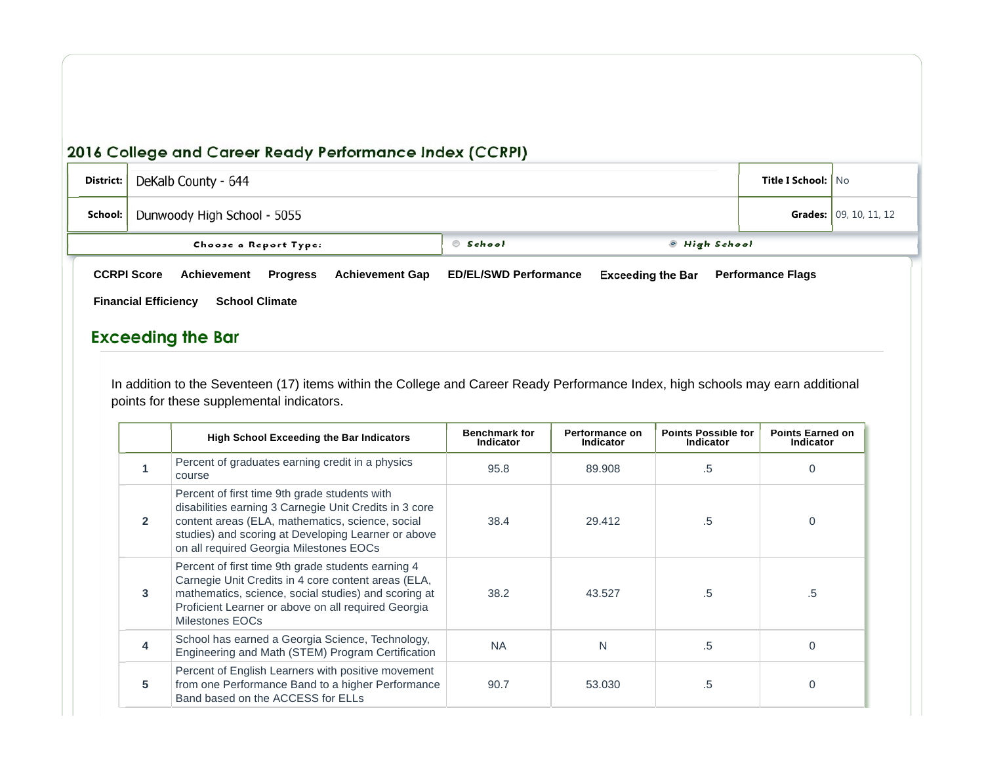| District: | DeKalb County - 644                                                                                                                    | <b>Title I School:   No</b>  |                               |                          |  |  |
|-----------|----------------------------------------------------------------------------------------------------------------------------------------|------------------------------|-------------------------------|--------------------------|--|--|
| School:   | Dunwoody High School - 5055                                                                                                            |                              | <b>Grades:</b> 09, 10, 11, 12 |                          |  |  |
|           | School<br>◎ High School<br>Choose a Report Type:                                                                                       |                              |                               |                          |  |  |
|           | <b>Achievement Gap</b><br><b>CCRPI Score</b><br>Achievement<br><b>Progress</b><br><b>Financial Efficiency</b><br><b>School Climate</b> | <b>ED/EL/SWD Performance</b> | <b>Exceeding the Bar</b>      | <b>Performance Flags</b> |  |  |

#### **Exceeding the Bar**

In addition to the Seventeen (17) items within the College and Career Ready Performance Index, high schools may earn additional points for these supplemental indicators.

|                | <b>High School Exceeding the Bar Indicators</b>                                                                                                                                                                                                               | <b>Benchmark for</b><br><b>Indicator</b> | Performance on<br><b>Indicator</b> | <b>Points Possible for</b><br><b>Indicator</b> | <b>Points Earned on</b><br><b>Indicator</b> |
|----------------|---------------------------------------------------------------------------------------------------------------------------------------------------------------------------------------------------------------------------------------------------------------|------------------------------------------|------------------------------------|------------------------------------------------|---------------------------------------------|
|                | Percent of graduates earning credit in a physics<br>course                                                                                                                                                                                                    | 95.8                                     | 89,908                             | .5                                             | 0                                           |
| $\overline{2}$ | Percent of first time 9th grade students with<br>disabilities earning 3 Carnegie Unit Credits in 3 core<br>content areas (ELA, mathematics, science, social<br>studies) and scoring at Developing Learner or above<br>on all required Georgia Milestones EOCs | 38.4                                     | 29.412                             | .5                                             | $\Omega$                                    |
| 3              | Percent of first time 9th grade students earning 4<br>Carnegie Unit Credits in 4 core content areas (ELA,<br>mathematics, science, social studies) and scoring at<br>Proficient Learner or above on all required Georgia<br>Milestones EOCs                   | 38.2                                     | 43.527                             | .5                                             | .5                                          |
| 4              | School has earned a Georgia Science, Technology,<br>Engineering and Math (STEM) Program Certification                                                                                                                                                         | <b>NA</b>                                | N                                  | .5                                             | $\Omega$                                    |
| 5              | Percent of English Learners with positive movement<br>from one Performance Band to a higher Performance<br>Band based on the ACCESS for ELLs                                                                                                                  | 90.7                                     | 53,030                             | .5                                             |                                             |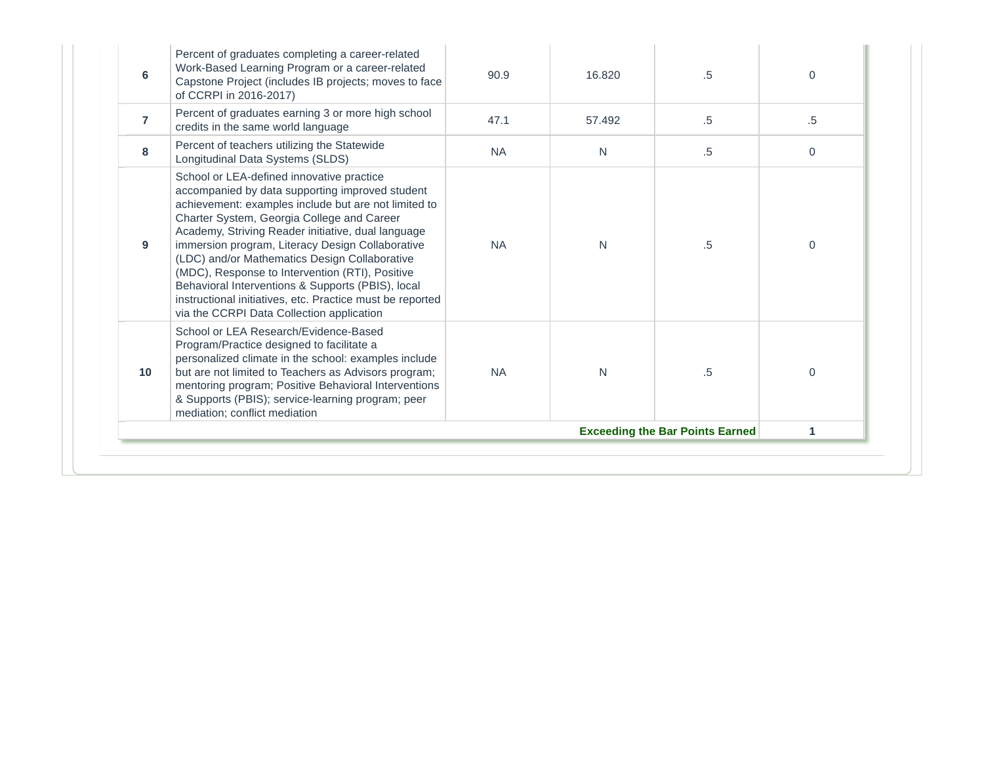| 6                                      | Percent of graduates completing a career-related<br>Work-Based Learning Program or a career-related<br>Capstone Project (includes IB projects; moves to face<br>of CCRPI in 2016-2017)                                                                                                                                                                                                                                                                                                                                                                                          | 90.9      | 16.820 | .5     | $\Omega$    |  |
|----------------------------------------|---------------------------------------------------------------------------------------------------------------------------------------------------------------------------------------------------------------------------------------------------------------------------------------------------------------------------------------------------------------------------------------------------------------------------------------------------------------------------------------------------------------------------------------------------------------------------------|-----------|--------|--------|-------------|--|
| $\overline{7}$                         | Percent of graduates earning 3 or more high school<br>credits in the same world language                                                                                                                                                                                                                                                                                                                                                                                                                                                                                        | 47.1      | 57.492 | $.5\,$ | $.5\,$      |  |
| 8                                      | Percent of teachers utilizing the Statewide<br>Longitudinal Data Systems (SLDS)                                                                                                                                                                                                                                                                                                                                                                                                                                                                                                 | <b>NA</b> | N      | $.5\,$ | $\mathbf 0$ |  |
| 9                                      | School or LEA-defined innovative practice<br>accompanied by data supporting improved student<br>achievement: examples include but are not limited to<br>Charter System, Georgia College and Career<br>Academy, Striving Reader initiative, dual language<br>immersion program, Literacy Design Collaborative<br>(LDC) and/or Mathematics Design Collaborative<br>(MDC), Response to Intervention (RTI), Positive<br>Behavioral Interventions & Supports (PBIS), local<br>instructional initiatives, etc. Practice must be reported<br>via the CCRPI Data Collection application | <b>NA</b> | N      | .5     | $\Omega$    |  |
| 10                                     | School or LEA Research/Evidence-Based<br>Program/Practice designed to facilitate a<br>personalized climate in the school: examples include<br>but are not limited to Teachers as Advisors program;<br>mentoring program; Positive Behavioral Interventions<br>& Supports (PBIS); service-learning program; peer<br>mediation; conflict mediation                                                                                                                                                                                                                                | <b>NA</b> | N      | .5     | $\Omega$    |  |
| <b>Exceeding the Bar Points Earned</b> |                                                                                                                                                                                                                                                                                                                                                                                                                                                                                                                                                                                 |           |        |        |             |  |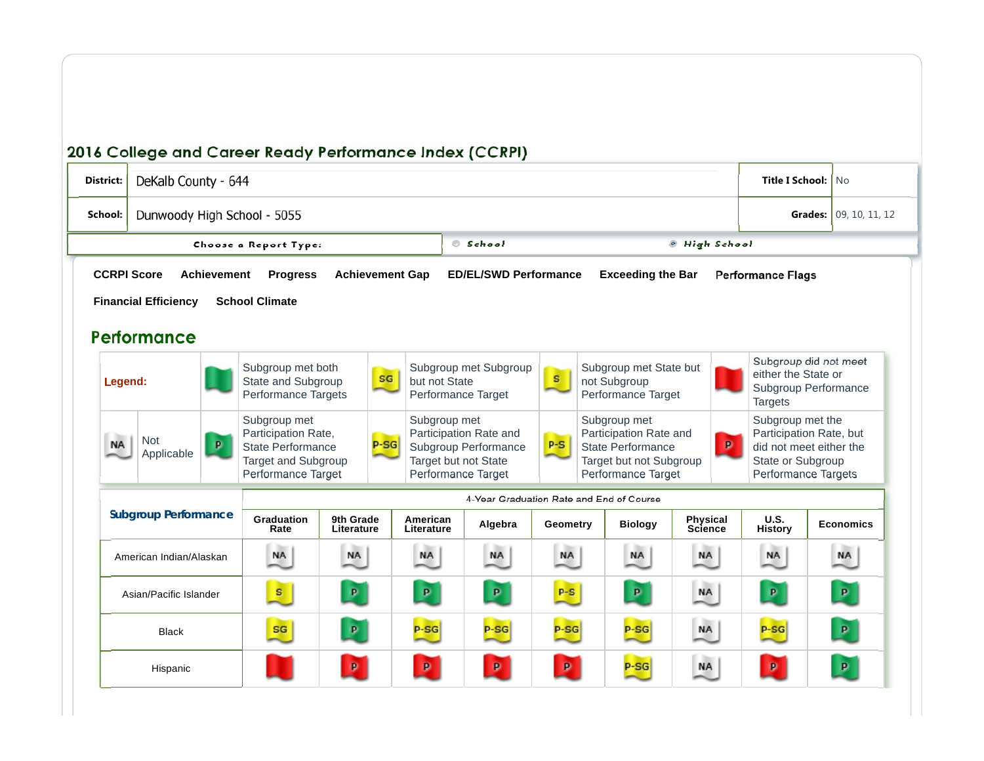| District: | DeKalb County - 644                               |                    |                                                                                                              |                         |                        |                                                              |                                                                                              |              |                                                              |                                                                                                              |                                                                                        | <b>Title I School:   No</b>                                                                                                        |  |                  |
|-----------|---------------------------------------------------|--------------------|--------------------------------------------------------------------------------------------------------------|-------------------------|------------------------|--------------------------------------------------------------|----------------------------------------------------------------------------------------------|--------------|--------------------------------------------------------------|--------------------------------------------------------------------------------------------------------------|----------------------------------------------------------------------------------------|------------------------------------------------------------------------------------------------------------------------------------|--|------------------|
| School:   | Dunwoody High School - 5055                       |                    |                                                                                                              |                         |                        |                                                              |                                                                                              |              |                                                              |                                                                                                              | Grades: 09, 10, 11, 12                                                                 |                                                                                                                                    |  |                  |
|           |                                                   |                    | Choose a Report Type:                                                                                        |                         |                        |                                                              | School                                                                                       |              |                                                              |                                                                                                              | <sup>®</sup> High School                                                               |                                                                                                                                    |  |                  |
|           | <b>CCRPI Score</b>                                | <b>Achievement</b> | <b>Progress</b>                                                                                              |                         | <b>Achievement Gap</b> |                                                              | <b>ED/EL/SWD Performance</b>                                                                 |              |                                                              | <b>Exceeding the Bar</b>                                                                                     |                                                                                        | <b>Performance Flags</b>                                                                                                           |  |                  |
|           | <b>Financial Efficiency</b>                       |                    | <b>School Climate</b>                                                                                        |                         |                        |                                                              |                                                                                              |              |                                                              |                                                                                                              |                                                                                        |                                                                                                                                    |  |                  |
|           | Performance                                       |                    |                                                                                                              |                         |                        |                                                              |                                                                                              |              |                                                              |                                                                                                              |                                                                                        |                                                                                                                                    |  |                  |
|           | Legend:                                           |                    | Subgroup met both<br>State and Subgroup<br>Performance Targets                                               |                         | SG                     | Subgroup met Subgroup<br>but not State<br>Performance Target |                                                                                              | $\mathbf{s}$ | Subgroup met State but<br>not Subgroup<br>Performance Target |                                                                                                              | Subgroup did not meet<br>either the State or<br>Subgroup Performance<br><b>Targets</b> |                                                                                                                                    |  |                  |
|           | <b>The</b><br>Not<br>P<br><b>NA</b><br>Applicable |                    | Subgroup met<br>Participation Rate,<br>State Performance<br><b>Target and Subgroup</b><br>Performance Target |                         | $P-SG$                 | Subgroup met                                                 | Participation Rate and<br>Subgroup Performance<br>Target but not State<br>Performance Target | $P-S$        |                                                              | Subgroup met<br>Participation Rate and<br>State Performance<br>Target but not Subgroup<br>Performance Target |                                                                                        | Subgroup met the<br>Participation Rate, but<br>$\mathbf{p}$<br>did not meet either the<br>State or Subgroup<br>Performance Targets |  |                  |
|           | <b>Subgroup Performance</b>                       |                    | 4-Year Graduation Rate and End of Course                                                                     |                         |                        |                                                              |                                                                                              |              |                                                              |                                                                                                              |                                                                                        |                                                                                                                                    |  |                  |
|           |                                                   |                    | Graduation<br>Rate                                                                                           | 9th Grade<br>Literature |                        | American<br>Literature                                       | Algebra                                                                                      | Geometry     |                                                              | <b>Biology</b>                                                                                               | <b>Physical</b><br>Science                                                             | U.S.<br><b>History</b>                                                                                                             |  | <b>Economics</b> |
|           | American Indian/Alaskan                           |                    | <b>NA</b>                                                                                                    | <b>NA</b>               |                        | <b>NA</b>                                                    | <b>NA</b>                                                                                    | <b>NA</b>    |                                                              | <b>NA</b>                                                                                                    | <b>NA</b>                                                                              | <b>NA</b>                                                                                                                          |  | <b>NA</b>        |
|           | Asian/Pacific Islander                            |                    | $\mathbf{s}$                                                                                                 | $\mathbf{p}$            |                        | $\mathbf{p}$                                                 | $\mathbf{p}$                                                                                 | $P-S$        |                                                              | $\mathbf{p}$                                                                                                 | <b>NA</b>                                                                              | $\mathbf{p}$                                                                                                                       |  | $\mathbf{p}$     |
|           | <b>Black</b>                                      |                    | SG                                                                                                           | $\mathbf{p}$            |                        | $P-SG$                                                       | $P-SG$                                                                                       | $P-SG$       |                                                              | $P-SG$                                                                                                       | <b>NA</b>                                                                              | $P-SG$                                                                                                                             |  | p                |
|           | Hispanic                                          |                    |                                                                                                              | $\mathbf{p}$            |                        | $\mathbf{p}$                                                 | $\bullet$                                                                                    | $\mathbf{p}$ |                                                              | $P-SG$                                                                                                       | <b>NA</b>                                                                              | $\mathbf{p}$                                                                                                                       |  | $\mathbf{p}$     |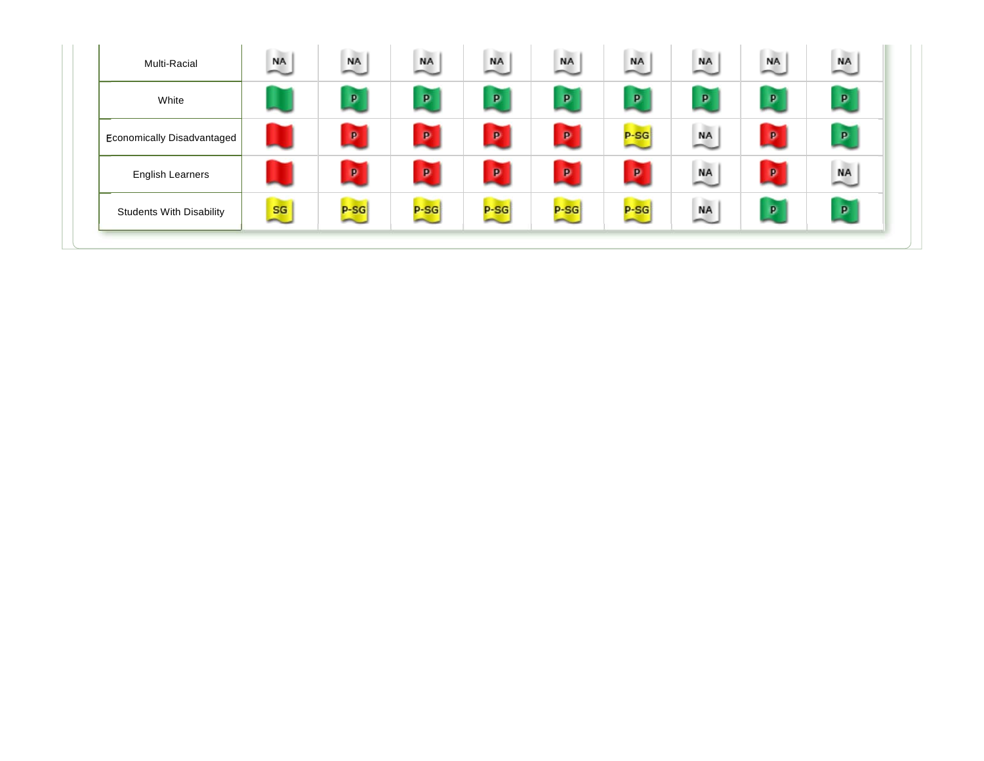| $\sqrt{P}$<br>$\mathbf{p}$<br>P<br>$\mathbf{p}$<br>P<br>P<br>P<br>P<br>White<br>C. The<br>$\mathbf{p}$<br>$\mathbf{p}$<br>$\mathbf{p}$<br>$\mathbf{p}$<br>$\mathbf{p}$<br>p<br>$P-SG$<br>$\overset{\text{NA}}{\sim}$<br>Economically Disadvantaged<br>$\overline{\phantom{a}}$<br>C bo<br>l be<br>$\mathbf{p}$<br>$\mathbf{p}$<br>P)<br>$\mathbf{p}$<br>$\mathbf{p}$<br>P<br><b>NA</b><br>$\overset{\text{NA}}{\sim}$<br><b>English Learners</b><br><b>College</b><br>$P-SG$<br>$P-SG$<br>P | Multi-Racial                    | ST (1994)<br><b>NA</b> | million a<br><b>NA</b> | million.<br><b>NA</b> | <b>STEP</b><br><b>NA</b> | . .<br><b>NA</b> | . .<br><b>NA</b><br>$\overline{\phantom{a}}$ | . .<br>$\overset{\text{NA}}{\sim}$ | . .<br><b>NA</b> | s po<br><b>NA</b> |
|---------------------------------------------------------------------------------------------------------------------------------------------------------------------------------------------------------------------------------------------------------------------------------------------------------------------------------------------------------------------------------------------------------------------------------------------------------------------------------------------|---------------------------------|------------------------|------------------------|-----------------------|--------------------------|------------------|----------------------------------------------|------------------------------------|------------------|-------------------|
|                                                                                                                                                                                                                                                                                                                                                                                                                                                                                             |                                 |                        |                        |                       |                          |                  |                                              |                                    |                  |                   |
|                                                                                                                                                                                                                                                                                                                                                                                                                                                                                             |                                 |                        |                        |                       |                          |                  |                                              |                                    |                  |                   |
|                                                                                                                                                                                                                                                                                                                                                                                                                                                                                             |                                 |                        |                        |                       |                          |                  |                                              |                                    |                  |                   |
| $\overline{\phantom{0}}$<br>$\overline{\phantom{a}}$<br>$\overline{\phantom{a}}$<br>$\sim$<br>$\sim$                                                                                                                                                                                                                                                                                                                                                                                        | <b>Students With Disability</b> | sa                     | $P-SG$                 | $P-SG$                |                          |                  | $P-SG$                                       | <b>NA</b>                          |                  | P                 |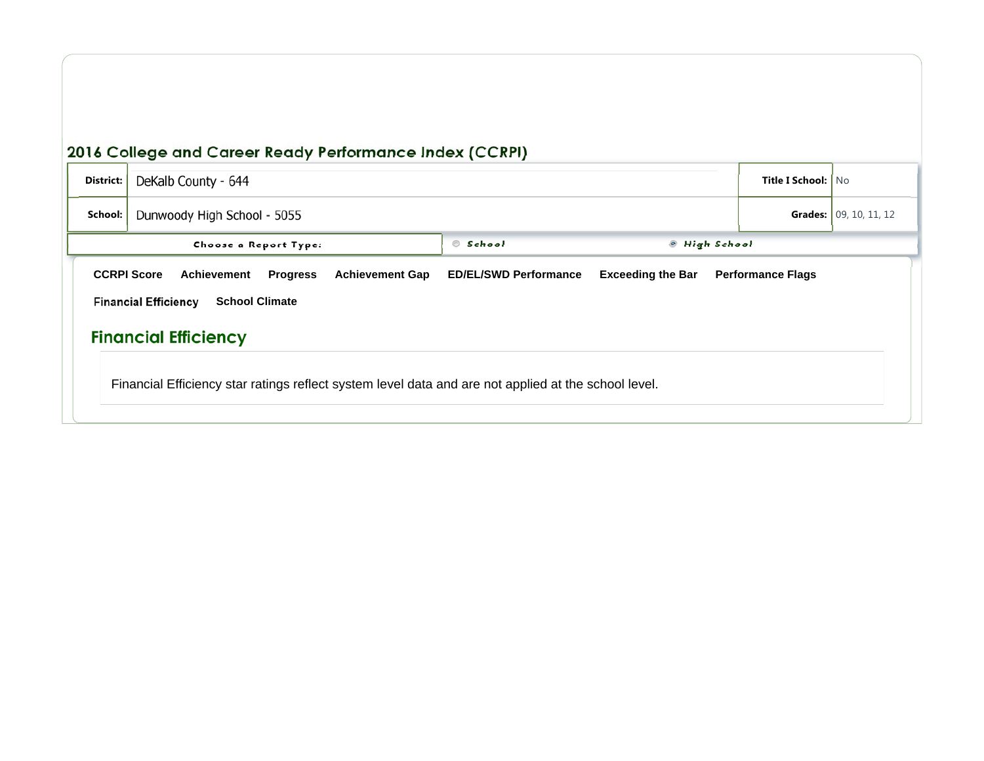| District:                                                                                                                                                                                                                                                     | DeKalb County - 644         | <b>Title I School:   No</b> |                        |  |  |  |  |  |
|---------------------------------------------------------------------------------------------------------------------------------------------------------------------------------------------------------------------------------------------------------------|-----------------------------|-----------------------------|------------------------|--|--|--|--|--|
| School:                                                                                                                                                                                                                                                       | Dunwoody High School - 5055 |                             | Grades: 09, 10, 11, 12 |  |  |  |  |  |
|                                                                                                                                                                                                                                                               | Choose a Report Type:       | <sup>®</sup> High School    |                        |  |  |  |  |  |
| <b>ED/EL/SWD Performance</b><br><b>CCRPI Score</b><br><b>Achievement Gap</b><br><b>Exceeding the Bar</b><br><b>Performance Flags</b><br>Achievement<br><b>Progress</b><br><b>Financial Efficiency</b><br><b>School Climate</b><br><b>Financial Efficiency</b> |                             |                             |                        |  |  |  |  |  |
| Financial Efficiency star ratings reflect system level data and are not applied at the school level.                                                                                                                                                          |                             |                             |                        |  |  |  |  |  |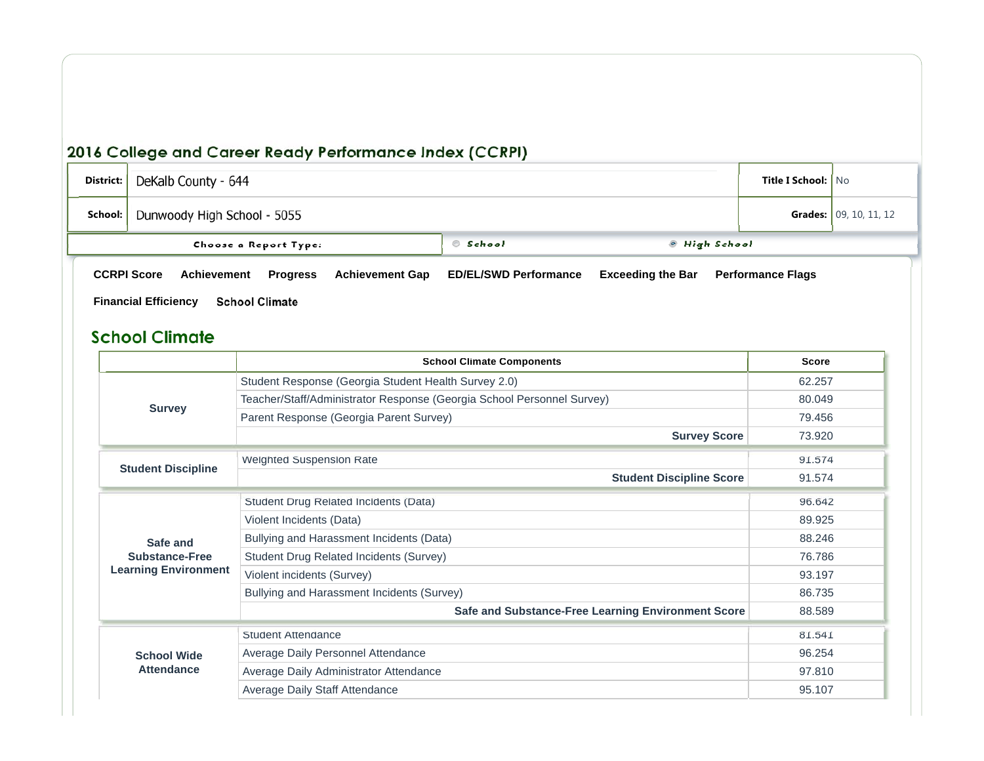| District: | DeKalb County - 644                                                                                                                    | <b>Title I School:   No</b>  |                               |                          |  |
|-----------|----------------------------------------------------------------------------------------------------------------------------------------|------------------------------|-------------------------------|--------------------------|--|
| School:   | Dunwoody High School - 5055                                                                                                            |                              | <b>Grades:</b> 09, 10, 11, 12 |                          |  |
|           | Choose a Report Type:                                                                                                                  | © School                     | ◎ High School                 |                          |  |
|           | <b>CCRPI Score</b><br>Achievement<br><b>Achievement Gap</b><br><b>Progress</b><br><b>School Climate</b><br><b>Financial Efficiency</b> | <b>ED/EL/SWD Performance</b> | <b>Exceeding the Bar</b>      | <b>Performance Flags</b> |  |

### **School Climate**

|                             | <b>School Climate Components</b>                                       | <b>Score</b> |
|-----------------------------|------------------------------------------------------------------------|--------------|
|                             | Student Response (Georgia Student Health Survey 2.0)                   | 62.257       |
| <b>Survey</b>               | Teacher/Staff/Administrator Response (Georgia School Personnel Survey) | 80.049       |
|                             | Parent Response (Georgia Parent Survey)                                | 79.456       |
|                             | <b>Survey Score</b>                                                    | 73.920       |
|                             | <b>Weighted Suspension Rate</b>                                        | 91.574       |
| <b>Student Discipline</b>   | <b>Student Discipline Score</b>                                        | 91.574       |
|                             | Student Drug Related Incidents (Data)                                  | 96.642       |
|                             | Violent Incidents (Data)                                               | 89.925       |
| Safe and                    | Bullying and Harassment Incidents (Data)                               | 88.246       |
| <b>Substance-Free</b>       | Student Drug Related Incidents (Survey)                                | 76.786       |
| <b>Learning Environment</b> | Violent incidents (Survey)                                             | 93.197       |
|                             | Bullying and Harassment Incidents (Survey)                             | 86.735       |
|                             | Safe and Substance-Free Learning Environment Score                     | 88.589       |
|                             | Student Attendance                                                     | 81.541       |
| <b>School Wide</b>          | Average Daily Personnel Attendance                                     | 96.254       |
| <b>Attendance</b>           | Average Daily Administrator Attendance                                 | 97.810       |
|                             | Average Daily Staff Attendance                                         | 95.107       |